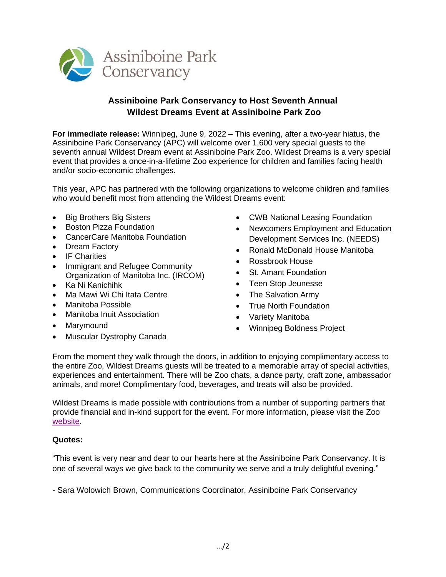

## **Assiniboine Park Conservancy to Host Seventh Annual Wildest Dreams Event at Assiniboine Park Zoo**

**For immediate release:** Winnipeg, June 9, 2022 – This evening, after a two-year hiatus, the Assiniboine Park Conservancy (APC) will welcome over 1,600 very special guests to the seventh annual Wildest Dream event at Assiniboine Park Zoo. Wildest Dreams is a very special event that provides a once-in-a-lifetime Zoo experience for children and families facing health and/or socio-economic challenges.

This year, APC has partnered with the following organizations to welcome children and families who would benefit most from attending the Wildest Dreams event:

- Big Brothers Big Sisters
- Boston Pizza Foundation
- CancerCare Manitoba Foundation
- Dream Factory
- IF Charities
- Immigrant and Refugee Community Organization of Manitoba Inc. (IRCOM)
- Ka Ni Kanichihk
- Ma Mawi Wi Chi Itata Centre
- Manitoba Possible
- Manitoba Inuit Association
- Marymound
- Muscular Dystrophy Canada
- CWB National Leasing Foundation
- Newcomers Employment and Education Development Services Inc. (NEEDS)
- Ronald McDonald House Manitoba
- Rossbrook House
- St. Amant Foundation
- Teen Stop Jeunesse
- The Salvation Army
- True North Foundation
- Variety Manitoba
- Winnipeg Boldness Project

From the moment they walk through the doors, in addition to enjoying complimentary access to the entire Zoo, Wildest Dreams guests will be treated to a memorable array of special activities, experiences and entertainment. There will be Zoo chats, a dance party, craft zone, ambassador animals, and more! Complimentary food, beverages, and treats will also be provided.

Wildest Dreams is made possible with contributions from a number of supporting partners that provide financial and in-kind support for the event. For more information, please visit the Zoo [website.](https://www.assiniboinepark.ca/stories/101/wildest-dreams-returns-to-assiniboine-park-zoo)

## **Quotes:**

"This event is very near and dear to our hearts here at the Assiniboine Park Conservancy. It is one of several ways we give back to the community we serve and a truly delightful evening."

- Sara Wolowich Brown, Communications Coordinator, Assiniboine Park Conservancy